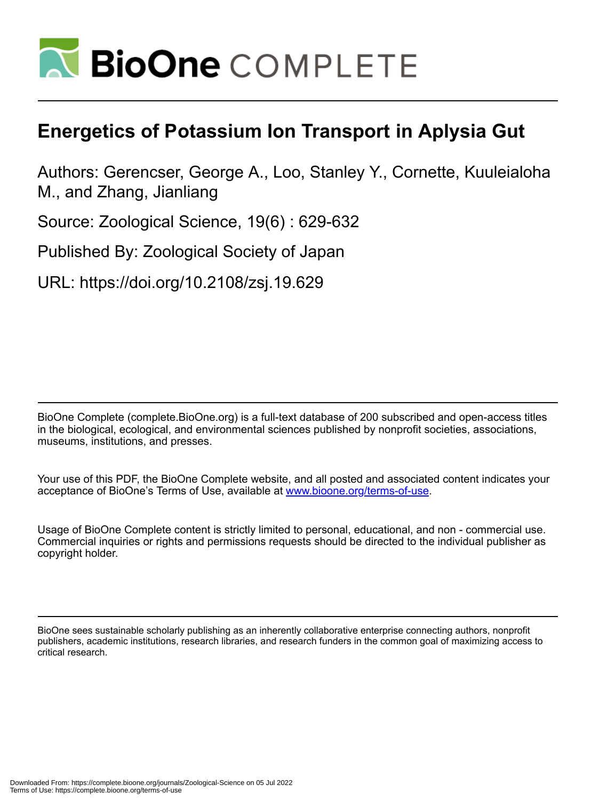

# **Energetics of Potassium Ion Transport in Aplysia Gut**

Authors: Gerencser, George A., Loo, Stanley Y., Cornette, Kuuleialoha M., and Zhang, Jianliang

Source: Zoological Science, 19(6) : 629-632

Published By: Zoological Society of Japan

URL: https://doi.org/10.2108/zsj.19.629

BioOne Complete (complete.BioOne.org) is a full-text database of 200 subscribed and open-access titles in the biological, ecological, and environmental sciences published by nonprofit societies, associations, museums, institutions, and presses.

Your use of this PDF, the BioOne Complete website, and all posted and associated content indicates your acceptance of BioOne's Terms of Use, available at www.bioone.org/terms-of-use.

Usage of BioOne Complete content is strictly limited to personal, educational, and non - commercial use. Commercial inquiries or rights and permissions requests should be directed to the individual publisher as copyright holder.

BioOne sees sustainable scholarly publishing as an inherently collaborative enterprise connecting authors, nonprofit publishers, academic institutions, research libraries, and research funders in the common goal of maximizing access to critical research.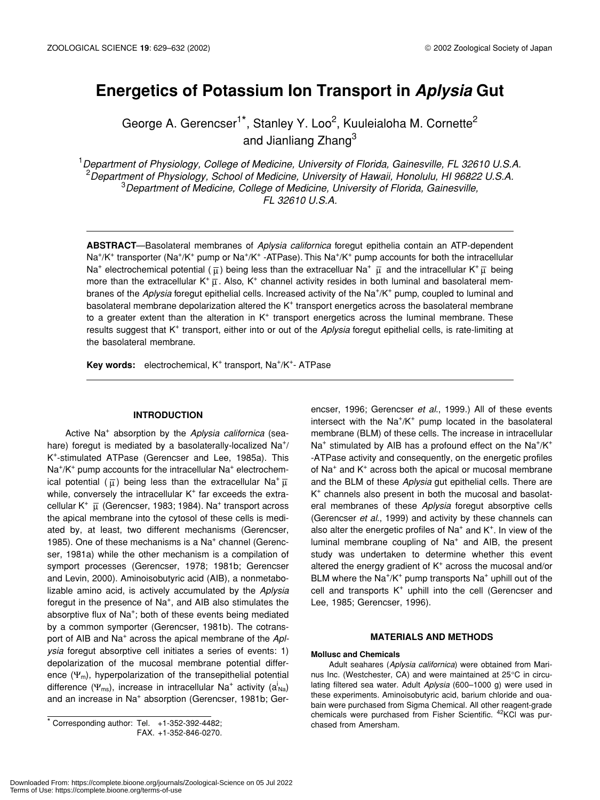# **Energetics of Potassium Ion Transport in** *Aplysia* **Gut**

George A. Gerencser<sup>1\*</sup>, Stanley Y. Loo<sup>2</sup>, Kuuleialoha M. Cornette<sup>2</sup> and Jianliang Zhang<sup>3</sup>

 *Department of Physiology, College of Medicine, University of Florida, Gainesville, FL 32610 U.S.A. Department of Physiology, School of Medicine, University of Hawaii, Honolulu, HI 96822 U.S.A. Department of Medicine, College of Medicine, University of Florida, Gainesville, FL 32610 U.S.A.*

**ABSTRACT**—Basolateral membranes of *Aplysia californica* foregut epithelia contain an ATP-dependent Na<sup>+</sup>/K<sup>+</sup> transporter (Na<sup>+</sup>/K<sup>+</sup> pump or Na<sup>+</sup>/K<sup>+</sup> -ATPase). This Na<sup>+</sup>/K<sup>+</sup> pump accounts for both the intracellular Na<sup>+</sup> electrochemical potential ( $\bar\mu$ ) being less than the extracelluar Na<sup>+</sup>  $\bar\mu$  and the intracellular K<sup>+</sup> $\bar\mu$  being more than the extracellular K<sup>+</sup> $\bar{\mu}$ . Also, K<sup>+</sup> channel activity resides in both luminal and basolateral membranes of the Aplysia foregut epithelial cells. Increased activity of the Na<sup>+</sup>/K<sup>+</sup> pump, coupled to luminal and basolateral membrane depolarization altered the  $K^+$  transport energetics across the basolateral membrane to a greater extent than the alteration in  $K^+$  transport energetics across the luminal membrane. These results suggest that K<sup>+</sup> transport, either into or out of the *Aplysia* foregut epithelial cells, is rate-limiting at the basolateral membrane.

Key words: electrochemical, K<sup>+</sup> transport, Na<sup>+</sup>/K<sup>+</sup>- ATPase

## **INTRODUCTION**

Active Na+ absorption by the *Aplysia californica* (seahare) foregut is mediated by a basolaterally-localized Na<sup>+</sup>/ K+ -stimulated ATPase (Gerencser and Lee, 1985a). This Na<sup>+</sup>/K<sup>+</sup> pump accounts for the intracellular Na<sup>+</sup> electrochemical potential  $(\bar\mu)$  being less than the extracellular Na<sup>+</sup> $\bar\mu$ while, conversely the intracellular K<sup>+</sup> far exceeds the extracellular K<sup>+</sup>  $\overline{\mu}$  (Gerencser, 1983; 1984). Na<sup>+</sup> transport across the apical membrane into the cytosol of these cells is mediated by, at least, two different mechanisms (Gerencser, 1985). One of these mechanisms is a Na<sup>+</sup> channel (Gerencser, 1981a) while the other mechanism is a compilation of symport processes (Gerencser, 1978; 1981b; Gerencser and Levin, 2000). Aminoisobutyric acid (AIB), a nonmetabolizable amino acid, is actively accumulated by the *Aplysia* foregut in the presence of Na<sup>+</sup>, and AIB also stimulates the absorptive flux of Na<sup>+</sup>; both of these events being mediated by a common symporter (Gerencser, 1981b). The cotransport of AIB and Na+ across the apical membrane of the *Aplysia* foregut absorptive cell initiates a series of events: 1) depolarization of the mucosal membrane potential difference  $(\Psi_m)$ , hyperpolarization of the transepithelial potential difference ( $\Psi_{\sf ms}$ ), increase in intracellular Na<sup>+</sup> activity (a<sup>i</sup><sub>Na</sub>) and an increase in Na<sup>+</sup> absorption (Gerencser, 1981b; Gerencser, 1996; Gerencser *et al*., 1999.) All of these events intersect with the Na<sup>+</sup>/K<sup>+</sup> pump located in the basolateral membrane (BLM) of these cells. The increase in intracellular Na<sup>+</sup> stimulated by AIB has a profound effect on the Na<sup>+</sup>/K<sup>+</sup> -ATPase activity and consequently, on the energetic profiles of Na<sup>+</sup> and K<sup>+</sup> across both the apical or mucosal membrane and the BLM of these *Aplysia* gut epithelial cells. There are K+ channels also present in both the mucosal and basolateral membranes of these *Aplysia* foregut absorptive cells (Gerencser *et al*., 1999) and activity by these channels can also alter the energetic profiles of  $Na<sup>+</sup>$  and  $K<sup>+</sup>$ . In view of the luminal membrane coupling of Na<sup>+</sup> and AIB, the present study was undertaken to determine whether this event altered the energy gradient of K<sup>+</sup> across the mucosal and/or BLM where the  $\text{Na}^+/\text{K}^+$  pump transports  $\text{Na}^+$  uphill out of the cell and transports K<sup>+</sup> uphill into the cell (Gerencser and Lee, 1985; Gerencser, 1996).

#### **MATERIALS AND METHODS**

#### **Mollusc and Chemicals**

Adult seahares (*Aplysia californica*) were obtained from Marinus Inc. (Westchester, CA) and were maintained at 25°C in circulating filtered sea water. Adult *Aplysia* (600–1000 g) were used in these experiments. Aminoisobutyric acid, barium chloride and ouabain were purchased from Sigma Chemical. All other reagent-grade chemicals were purchased from Fisher Scientific. <sup>42</sup>KCl was purchased from Amersham.

<sup>\*</sup> Corresponding author: Tel. +1-352-392-4482;

FAX. +1-352-846-0270.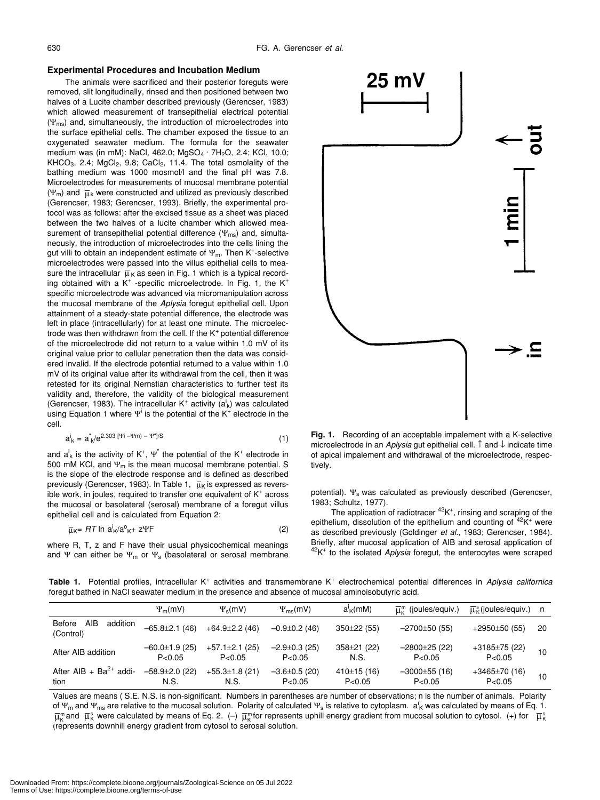#### **Experimental Procedures and Incubation Medium**

The animals were sacrificed and their posterior foreguts were removed, slit longitudinally, rinsed and then positioned between two halves of a Lucite chamber described previously (Gerencser, 1983) which allowed measurement of transepithelial electrical potential  $(\Psi_{\text{ms}})$  and, simultaneously, the introduction of microelectrodes into the surface epithelial cells. The chamber exposed the tissue to an oxygenated seawater medium. The formula for the seawater medium was (in mM): NaCl, 462.0;  $MgSO_4 \cdot 7H_2O$ , 2.4; KCl, 10.0; KHCO<sub>3</sub>, 2.4; MgCl<sub>2</sub>, 9.8; CaCl<sub>2</sub>, 11.4. The total osmolality of the bathing medium was 1000 mosmol/l and the final pH was 7.8. Microelectrodes for measurements of mucosal membrane potential  $(\Psi_m)$  and  $\bar{\mu}_k$  were constructed and utilized as previously described (Gerencser, 1983; Gerencser, 1993). Briefly, the experimental protocol was as follows: after the excised tissue as a sheet was placed between the two halves of a lucite chamber which allowed measurement of transepithelial potential difference  $(\Psi_{\text{ms}})$  and, simultaneously, the introduction of microelectrodes into the cells lining the gut villi to obtain an independent estimate of  $\Psi_m$ . Then K<sup>+</sup>-selective microelectrodes were passed into the villus epithelial cells to measure the intracellular  $\,\overline{\mu}_{\,\mathsf{K}}\,$ as seen in Fig. 1 which is a typical recording obtained with a  $K^+$  -specific microelectrode. In Fig. 1, the  $K^+$ specific microelectrode was advanced via micromanipulation across the mucosal membrane of the *Aplysia* foregut epithelial cell. Upon attainment of a steady-state potential difference, the electrode was left in place (intracellularly) for at least one minute. The microelectrode was then withdrawn from the cell. If the  $K<sup>+</sup>$  potential difference of the microelectrode did not return to a value within 1.0 mV of its original value prior to cellular penetration then the data was considered invalid. If the electrode potential returned to a value within 1.0 mV of its original value after its withdrawal from the cell, then it was retested for its original Nernstian characteristics to further test its validity and, therefore, the validity of the biological measurement (Gerencser, 1983). The intracellular K<sup>+</sup> activity  $(a^i_k)$  was calculated using Equation 1 where  $\Psi^{\text{i}}$  is the potential of the K<sup>+</sup> electrode in the cell.

$$
a^i_k = a^i_k / e^{2.303} [4i - 4m] - 4m/s
$$
 (1)

and  $a^i_k$  is the activity of K<sup>+</sup>,  $\Psi^{\dagger}$  the potential of the K<sup>+</sup> electrode in 500 mM KCl, and  $\Psi_m$  is the mean mucosal membrane potential. S is the slope of the electrode response and is defined as described previously (Gerencser, 1983). In Table 1,  $\;\overline{\mu}_{\mathsf{K}}$  is expressed as reversible work, in joules, required to transfer one equivalent of  $K^+$  across the mucosal or basolateral (serosal) membrane of a foregut villus epithelial cell and is calculated from Equation 2:

$$
\overline{\mu}\kappa = RT \ln a^i \kappa / a^o \kappa + z \Psi F \tag{2}
$$

where R, T, z and F have their usual physicochemical meanings and Ψ can either be  $\Psi_m$  or  $\Psi_s$  (basolateral or serosal membrane



**Fig. 1.** Recording of an acceptable impalement with a K-selective microelectrode in an *Aplysia* gut epithelial cell. ↑ and ↓ indicate time of apical impalement and withdrawal of the microelectrode, respectively.

potential).  $\Psi_s$  was calculated as previously described (Gerencser, 1983; Schultz, 1977).

The application of radiotracer  $42K^+$ , rinsing and scraping of the epithelium, dissolution of the epithelium and counting of <sup>42</sup>K<sup>+</sup> were as described previously (Goldinger *et al*., 1983; Gerencser, 1984). Briefly, after mucosal application of AIB and serosal application of 42K+ to the isolated *Aplysia* foregut, the enterocytes were scraped

Table 1. Potential profiles, intracellular K<sup>+</sup> activities and transmembrane K<sup>+</sup> electrochemical potential differences in *Aplysia californica* foregut bathed in NaCl seawater medium in the presence and absence of mucosal aminoisobutyric acid.

|                                        | $\Psi_m(mV)$                    | $\Psi_{\rm s}$ (mV)             | $\Psi_{\text{ms}}$ (mV)        | $a'_{\mathsf{K}}$ (mM)    | $\overline{\mathbf{u}}_n^m$ (joules/equiv.) | $\overline{u}^s_{\kappa}$ (joules/equiv.) | n n             |
|----------------------------------------|---------------------------------|---------------------------------|--------------------------------|---------------------------|---------------------------------------------|-------------------------------------------|-----------------|
| Before<br>AIB<br>addition<br>(Control) | $-65.8\pm2.1(46)$               | $+64.9 \pm 2.2$ (46)            | $-0.9 \pm 0.2$ (46)            | $350\pm22(55)$            | $-2700\pm50(55)$                            | $+2950\pm50(55)$                          | 20              |
| After AIB addition                     | $-60.0 \pm 1.9(25)$<br>P < 0.05 | $+57.1 \pm 2.1$ (25)<br>P< 0.05 | $-2.9 \pm 0.3$ (25)<br>P<0.05  | $358 \pm 21$ (22)<br>N.S. | $-2800\pm25(22)$<br>P< 0.05                 | $+3185±75(22)$<br>P < 0.05                | 10 <sup>1</sup> |
| After AIB + $Ba^{2+}$ addi-<br>tion    | $-58.9 \pm 2.0$ (22)<br>N.S.    | $+55.3 \pm 1.8$ (21)<br>N.S.    | $-3.6 \pm 0.5$ (20)<br>P< 0.05 | 410±15(16)<br>P< 0.05     | $-3000\pm55$ (16)<br>P<0.05                 | $+3465 \pm 70(16)$<br>P< 0.05             | 10              |

Values are means ( S.E. N.S. is non-significant. Numbers in parentheses are number of observations; n is the number of animals. Polarity of Ψ<sub>m</sub> and Ψ<sub>ms</sub> are relative to the mucosal solution. Polarity of calculated Ψ<sub>s</sub> is relative to cytoplasm. a<sup>i</sup><sub>K</sub> was calculated by means of Eq. 1.  $\overline{\mu}_K^{\rm m}$ and  $\overline{\mu}_K^{\rm s}$  were calculated by means of Eq. 2. (–)  $\overline{\mu}_K^{\rm m}$ for represents uphill energy gradient from mucosal solution to cytosol. (+) for  $\ \overline{\mu}_K^{\rm s}$ (represents downhill energy gradient from cytosol to serosal solution.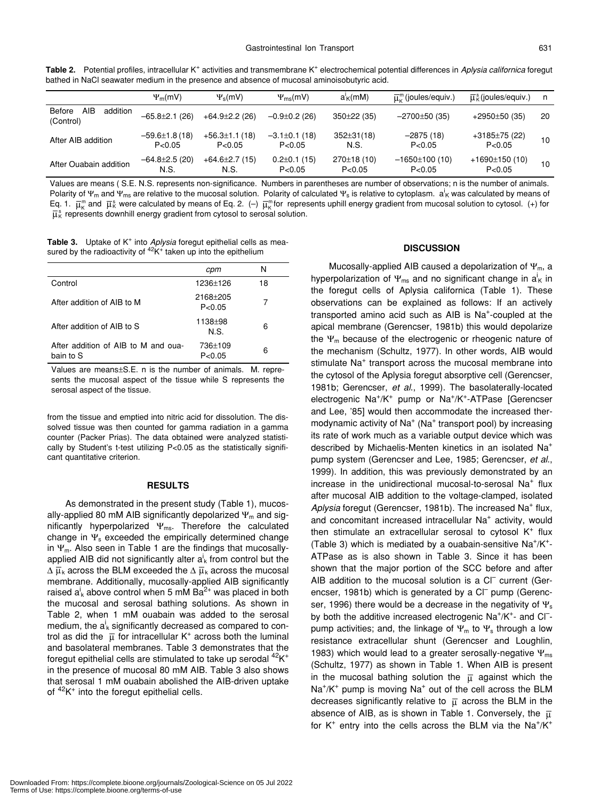Table 2. Potential profiles, intracellular K<sup>+</sup> activities and transmembrane K<sup>+</sup> electrochemical potential differences in *Aplysia californica* foregut bathed in NaCl seawater medium in the presence and absence of mucosal aminoisobutyric acid.

|                                        | $\Psi_m(mV)$                  | $\Psi_{s}$ (mV)               | $\Psi_{\rm ms}$ (mV)           | $a'_{\mathsf{K}}$ (mM)   | $\overline{\mathfrak{u}}^{\mathsf{m}}_{\mathsf{v}}$ (joules/equiv.) | $\overline{\mu}_{K}^{s}$ (joules/equiv.) | n  |
|----------------------------------------|-------------------------------|-------------------------------|--------------------------------|--------------------------|---------------------------------------------------------------------|------------------------------------------|----|
| AIB<br>Before<br>addition<br>(Control) | $-65.8 \pm 2.1$ (26)          | $+64.9\pm2.2(26)$             | $-0.9 \pm 0.2$ (26)            | $350\pm22(35)$           | $-2700\pm50(35)$                                                    | $+2950\pm50(35)$                         | 20 |
| After AIB addition                     | $-59.6\pm1.8(18)$<br>P < 0.05 | $+56.3\pm1.1(18)$<br>P < 0.05 | $-3.1\pm0.1$ (18)<br>P < 0.05  | $352 \pm 31(18)$<br>N.S. | $-2875(18)$<br>P< 0.05                                              | $+3185±75(22)$<br>P < 0.05               | 10 |
| After Ouabain addition                 | $-64.8 \pm 2.5$ (20)<br>N.S.  | $+64.6 \pm 2.7(15)$<br>N.S.   | $0.2 \pm 0.1$ (15)<br>P < 0.05 | 270±18(10)<br>P < 0.05   | $-1650±100(10)$<br>P< 0.05                                          | $+1690±150(10)$<br>P < 0.05              | 10 |

Values are means ( S.E. N.S. represents non-significance. Numbers in parentheses are number of observations; n is the number of animals. Polarity of Ψ<sub>m</sub> and Ψ<sub>ms</sub> are relative to the mucosal solution. Polarity of calculated Ψ<sub>s</sub> is relative to cytoplasm.  $a^i$ <sub>K</sub> was calculated by means of Eq. 1.  $\bar{\mu}_{K}^{m}$  and  $\bar{\mu}_{K}^{s}$  were calculated by means of Eq. 2. (-)  $\bar{\mu}_{K}^{m}$  for represents uphill energy gradient from mucosal solution to cytosol. (+) for  $\overline{\mu}_\kappa^{\mathtt{s}}$  represents downhill energy gradient from cytosol to serosal solution.

Table 3. Uptake of K<sup>+</sup> into *Aplysia* foregut epithelial cells as measured by the radioactivity of  ${}^{42}$ K<sup>+</sup> taken up into the epithelium

|                                                  | cpm                  | N  |
|--------------------------------------------------|----------------------|----|
| Control                                          | 1236±126             | 18 |
| After addition of AIB to M                       | 2168+205<br>P < 0.05 |    |
| After addition of AIB to S                       | 1138±98<br>N.S.      | 6  |
| After addition of AIB to M and oua-<br>bain to S | 736±109<br>P < 0.05  | 6  |

Values are means±S.E. n is the number of animals. M. represents the mucosal aspect of the tissue while S represents the serosal aspect of the tissue.

from the tissue and emptied into nitric acid for dissolution. The dissolved tissue was then counted for gamma radiation in a gamma counter (Packer Prias). The data obtained were analyzed statistically by Student's t-test utilizing P<0.05 as the statistically significant quantitative criterion.

### **RESULTS**

As demonstrated in the present study (Table 1), mucosally-applied 80 mM AIB significantly depolarized  $\Psi_m$  and significantly hyperpolarized  $\Psi_{\text{ms}}$ . Therefore the calculated change in  $\Psi_s$  exceeded the empirically determined change in  $\Psi_m$ . Also seen in Table 1 are the findings that mucosallyapplied AIB did not significantly alter  $a_k^i$  from control but the  $\Delta \ \overline{\mu}_\mathsf{k}$  across the BLM exceeded the  $\Delta \ \overline{\mu}_\mathsf{k}$  across the mucosal membrane. Additionally, mucosally-applied AIB significantly raised  $a^i_k$  above control when 5 mM Ba<sup>2+</sup> was placed in both the mucosal and serosal bathing solutions. As shown in Table 2, when 1 mM ouabain was added to the serosal medium, the  $a^i_k$  significantly decreased as compared to control as did the  $\bar{\mu}$  for intracellular K<sup>+</sup> across both the luminal and basolateral membranes. Table 3 demonstrates that the foregut epithelial cells are stimulated to take up serodal  $^{42}K^+$ in the presence of mucosal 80 mM AIB. Table 3 also shows that serosal 1 mM ouabain abolished the AIB-driven uptake of  $42K^+$  into the foregut epithelial cells.

#### **DISCUSSION**

Mucosally-applied AIB caused a depolarization of  $\Psi_m$ , a hyperpolarization of  $\Psi_{\sf ms}$  and no significant change in  ${\sf a}_{\sf K}^{\sf i}$  in the foregut cells of Aplysia californica (Table 1). These observations can be explained as follows: If an actively transported amino acid such as AIB is Na<sup>+</sup>-coupled at the apical membrane (Gerencser, 1981b) this would depolarize the  $\Psi_m$  because of the electrogenic or rheogenic nature of the mechanism (Schultz, 1977). In other words, AIB would stimulate Na<sup>+</sup> transport across the mucosal membrane into the cytosol of the Aplysia foregut absorptive cell (Gerencser, 1981b; Gerencser, *et al*., 1999). The basolaterally-located electrogenic Na<sup>+</sup>/K<sup>+</sup> pump or Na<sup>+</sup>/K<sup>+</sup>-ATPase [Gerencser and Lee, '85] would then accommodate the increased thermodynamic activity of Na<sup>+</sup> (Na<sup>+</sup> transport pool) by increasing its rate of work much as a variable output device which was described by Michaelis-Menten kinetics in an isolated Na+ pump system (Gerencser and Lee, 1985; Gerencser, *et al*., 1999). In addition, this was previously demonstrated by an increase in the unidirectional mucosal-to-serosal Na<sup>+</sup> flux after mucosal AIB addition to the voltage-clamped, isolated Aplysia foregut (Gerencser, 1981b). The increased Na<sup>+</sup> flux, and concomitant increased intracellular Na<sup>+</sup> activity, would then stimulate an extracellular serosal to cytosol  $K^+$  flux (Table 3) which is mediated by a ouabain-sensitive  $Na^+/K^+$ -ATPase as is also shown in Table 3. Since it has been shown that the major portion of the SCC before and after AIB addition to the mucosal solution is a CI<sup>-</sup> current (Gerencser, 1981b) which is generated by a Cl<sup>-</sup> pump (Gerencser, 1996) there would be a decrease in the negativity of  $\Psi_s$ by both the additive increased electrogenic Na<sup>+</sup>/K<sup>+</sup>- and Cl<sup>-</sup>pump activities; and, the linkage of  $\Psi_m$  to  $\Psi_s$  through a low resistance extracellular shunt (Gerencser and Loughlin, 1983) which would lead to a greater serosally-negative  $\Psi_{\text{ms}}$ (Schultz, 1977) as shown in Table 1. When AIB is present in the mucosal bathing solution the  $\overline{\mu}$  against which the Na<sup>+</sup>/K<sup>+</sup> pump is moving Na<sup>+</sup> out of the cell across the BLM decreases significantly relative to  $\,\overline{\upmu}\,$  across the BLM in the absence of AIB, as is shown in Table 1. Conversely, the  $\,\overline{\mu}\,$ for  $K^+$  entry into the cells across the BLM via the Na<sup>+</sup>/ $K^+$